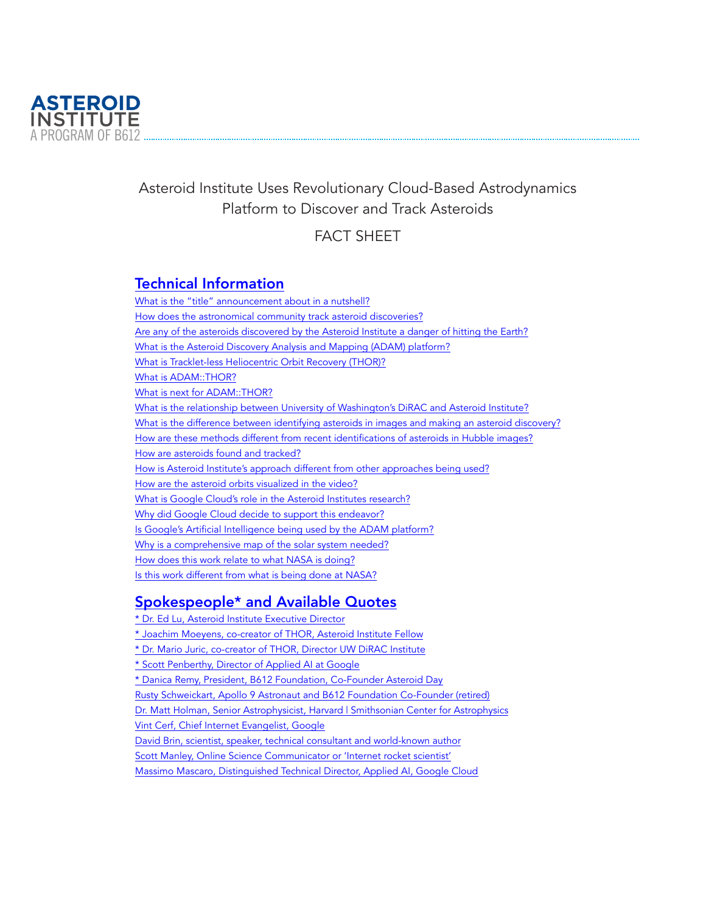

# Asteroid Institute Uses Revolutionary Cloud-Based Astrodynamics Platform to Discover and Track Asteroids

# FACT SHEET

## [Technical Information](https://b612foundation.org/?p=28818&preview=true#technical-information)

[What is the "title" announcement about in a nutshell?](https://b612foundation.org/?p=28818&preview=true#technical-information-1) [How does the astronomical community track asteroid discoveries?](https://b612foundation.org/?p=28818&preview=true#technical-information-2) [Are any of the asteroids discovered by the Asteroid Institute a danger of hitting the Earth?](https://b612foundation.org/?p=28818&preview=true#technical-information-3) [What is the Asteroid Discovery Analysis and Mapping \(ADAM\) platform?](https://b612foundation.org/?p=28818&preview=true#technical-information-4) [What is Tracklet-less Heliocentric Orbit Recovery \(THOR\)?](https://b612foundation.org/?p=28818&preview=true#technical-information-5) [What is ADAM::THOR?](https://b612foundation.org/?p=28818&preview=true#technical-information-6) [What is next for ADAM::THOR?](https://b612foundation.org/?p=28818&preview=true#technical-information-7) [What is the relationship between University of Washington's DiRAC and Asteroid Institute?](https://b612foundation.org/?p=28818&preview=true#technical-information-8) [What is the difference between identifying asteroids in images and making an asteroid discovery?](https://b612foundation.org/?p=28818&preview=true#technical-information-9) [How are these methods different from recent identifications of asteroids in Hubble images?](https://b612foundation.org/?p=28818&preview=true#technical-information-10) [How are asteroids found and tracked?](https://b612foundation.org/?p=28818&preview=true#technical-information-11) [How is Asteroid Institute's approach different from other approaches being used?](https://b612foundation.org/?p=28818&preview=true#technical-information-12) [How are the asteroid orbits visualized in the video?](https://b612foundation.org/?p=28818&preview=true#technical-information-13) [What is Google Cloud's role in the Asteroid Institutes research?](https://b612foundation.org/?p=28818&preview=true#technical-information-14) [Why did Google Cloud decide to support this endeavor?](https://b612foundation.org/?p=28818&preview=true#technical-information-15) [Is Google's Artificial Intelligence being used by the ADAM platform?](https://b612foundation.org/?p=28818&preview=true#technical-information-16) [Why is a comprehensive map of the solar system needed?](https://b612foundation.org/?p=28818&preview=true#technical-information-17) [How does this work relate to what NASA is doing?](https://b612foundation.org/?p=28818&preview=true#technical-information-18) [Is this work different from what is being done at NASA?](https://b612foundation.org/?p=28818&preview=true#technical-information-19)

# [Spokespeople\\* and Available Quotes](https://b612foundation.org/?p=28818&preview=true#spokespeople)

[\\* Dr. Ed Lu, Asteroid Institute Executive Director](https://b612foundation.org/?p=28818&preview=true#spokespeople-1) [\\* Joachim Moeyens, co-creator of THOR, Asteroid Institute Fellow](https://b612foundation.org/?p=28818&preview=true#spokespeople-2) [\\* Dr. Mario Juric, co-creator of THOR, Director UW DiRAC Institute](https://b612foundation.org/?p=28818&preview=true#spokespeople-3) [\\* Scott Penberthy, Director of Applied AI at Google](https://b612foundation.org/?p=28818&preview=true#spokespeople-4) [\\* Danica Remy, President, B612 Foundation, Co-Founder Asteroid Day](https://b612foundation.org/?p=28818&preview=true#spokespeople-5) [Rusty Schweickart, Apollo 9 Astronaut and B612 Foundation Co-Founder \(retired\)](https://b612foundation.org/?p=28818&preview=true#spokespeople-6) [Dr. Matt Holman, Senior Astrophysicist, Harvard | Smithsonian Center for Astrophysics](https://b612foundation.org/?p=28818&preview=true#spokespeople-7) [Vint Cerf, Chief Internet Evangelist, Google](https://b612foundation.org/?p=28818&preview=true#spokespeople-8) [David Brin, scientist, speaker, technical consultant and world-known author](https://b612foundation.org/?p=28818&preview=true#spokespeople-9) [Scott Manley, Online Science Communicator or 'Internet rocket scientist'](https://b612foundation.org/?p=28818&preview=true#spokespeople-10) [Massimo Mascaro, Distinguished Technical Director, Applied AI, Google Cloud](https://b612foundation.org/?p=28818&preview=true#spokespeople-11)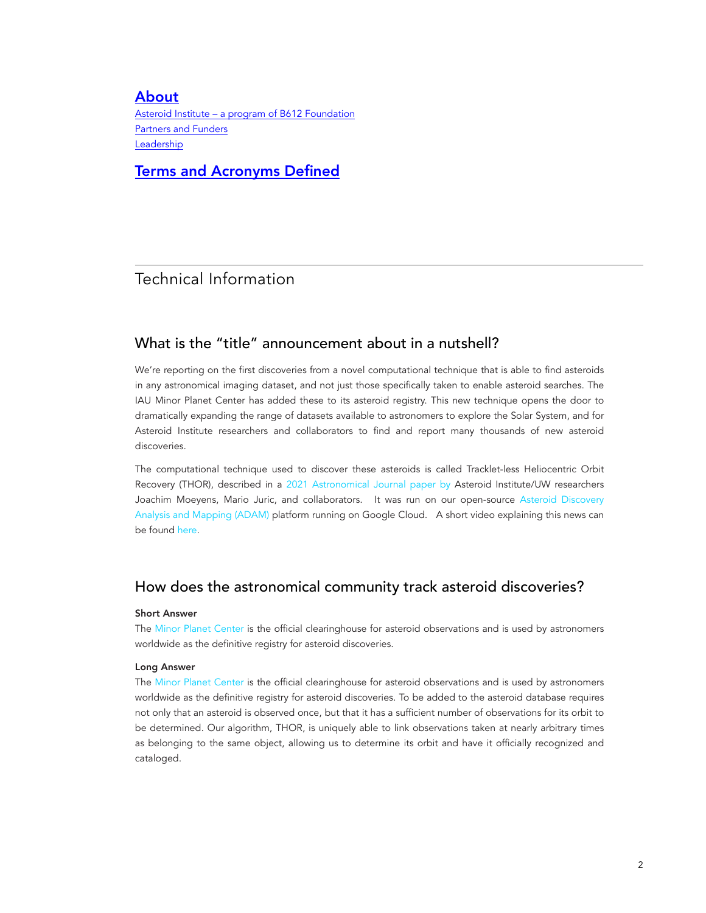## [About](https://b612foundation.org/?p=28818&preview=true#about)

[Asteroid Institute – a program of B612 Foundation](https://b612foundation.org/?p=28818&preview=true#about-1) [Partners and Funders](https://b612foundation.org/?p=28818&preview=true#about-2) [Leadership](https://b612foundation.org/?p=28818&preview=true#about-3)

[Terms and Acronyms Defined](https://b612foundation.org/?p=28818&preview=true#terms)

## Technical Information

## What is the "title" announcement about in a nutshell?

We're reporting on the first discoveries from a novel computational technique that is able to find asteroids in any astronomical imaging dataset, and not just those specifically taken to enable asteroid searches. The IAU Minor Planet Center has added these to its asteroid registry. This new technique opens the door to dramatically expanding the range of datasets available to astronomers to explore the Solar System, and for Asteroid Institute researchers and collaborators to find and report many thousands of new asteroid discoveries.

The computational technique used to discover these asteroids is called Tracklet-less Heliocentric Orbit Recovery (THOR), described in a [2021 Astronomical Journal paper by](https://iopscience.iop.org/article/10.3847/1538-3881/ac042b) Asteroid Institute/UW researchers Joachim Moeyens, Mario Juric, and collaborators. It was run on our open-source [Asteroid Discovery](https://adam.b612.ai/) [Analysis and Mapping \(ADAM\)](https://adam.b612.ai/) platform running on Google Cloud. A short video explaining this news can be found [here.](https://youtu.be/_GNxx_1ZgWE)

## How does the astronomical community track asteroid discoveries?

#### Short Answer

The [Minor Planet Center](https://minorplanetcenter.net/) is the official clearinghouse for asteroid observations and is used by astronomers worldwide as the definitive registry for asteroid discoveries.

#### Long Answer

The [Minor Planet Center](https://minorplanetcenter.net/) is the official clearinghouse for asteroid observations and is used by astronomers worldwide as the definitive registry for asteroid discoveries. To be added to the asteroid database requires not only that an asteroid is observed once, but that it has a sufficient number of observations for its orbit to be determined. Our algorithm, THOR, is uniquely able to link observations taken at nearly arbitrary times as belonging to the same object, allowing us to determine its orbit and have it officially recognized and cataloged.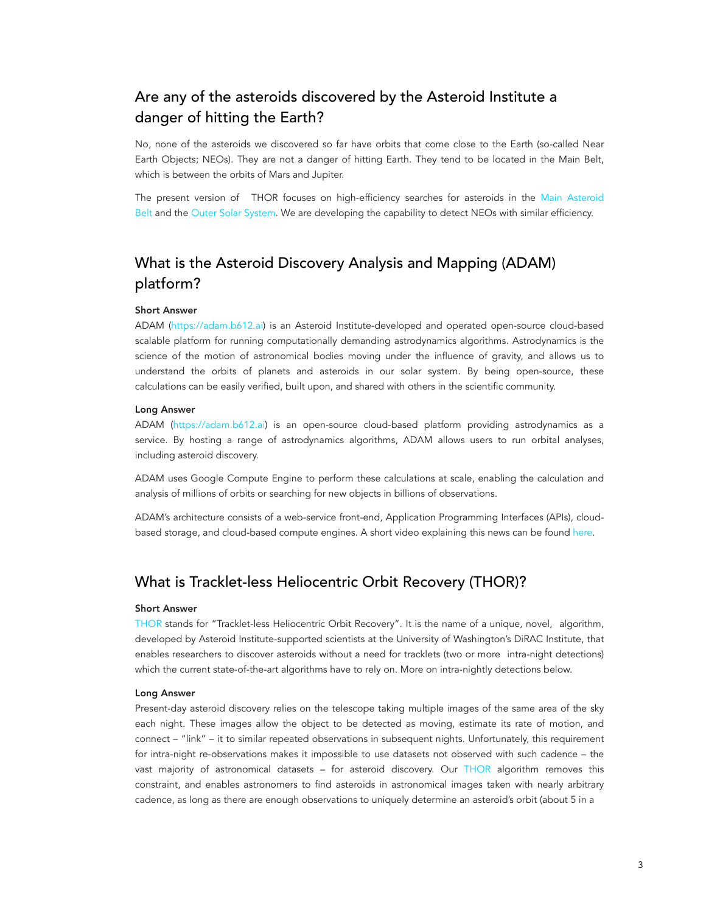# Are any of the asteroids discovered by the Asteroid Institute a danger of hitting the Earth?

No, none of the asteroids we discovered so far have orbits that come close to the Earth (so-called Near Earth Objects; NEOs). They are not a danger of hitting Earth. They tend to be located in the Main Belt, which is between the orbits of Mars and Jupiter.

The present version of THOR focuses on high-efficiency searches for asteroids in the [Main Asteroid](https://en.wikipedia.org/wiki/Asteroid_belt)  [Belt](https://en.wikipedia.org/wiki/Asteroid_belt) and the [Outer Solar System](https://en.wikipedia.org/wiki/Solar_System#Trans-Neptunian_region). We are developing the capability to detect NEOs with similar efficiency.

# What is the Asteroid Discovery Analysis and Mapping (ADAM) platform?

#### Short Answer

ADAM ([https://adam.b612.ai](https://adam.b612.ai/)) is an Asteroid Institute-developed and operated open-source cloud-based scalable platform for running computationally demanding astrodynamics algorithms. Astrodynamics is the science of the motion of astronomical bodies moving under the influence of gravity, and allows us to understand the orbits of planets and asteroids in our solar system. By being open-source, these calculations can be easily verified, built upon, and shared with others in the scientific community.

#### Long Answer

ADAM [\(https://adam.b612.ai\)](https://adam.b612.ai/) is an open-source cloud-based platform providing astrodynamics as a service. By hosting a range of astrodynamics algorithms, ADAM allows users to run orbital analyses, including asteroid discovery.

ADAM uses Google Compute Engine to perform these calculations at scale, enabling the calculation and analysis of millions of orbits or searching for new objects in billions of observations.

ADAM's architecture consists of a web-service front-end, Application Programming Interfaces (APIs), cloudbased storage, and cloud-based compute engines. A short video explaining this news can be found [here.](https://youtu.be/_GNxx_1ZgWE)

### What is Tracklet-less Heliocentric Orbit Recovery (THOR)?

#### Short Answer

[THOR](https://ui.adsabs.harvard.edu/abs/2021AJ....162..143M/abstract) stands for "Tracklet-less Heliocentric Orbit Recovery". It is the name of a unique, novel, algorithm, developed by Asteroid Institute-supported scientists at the University of Washington's DiRAC Institute, that enables researchers to discover asteroids without a need for tracklets (two or more intra-night detections) which the current state-of-the-art algorithms have to rely on. More on intra-nightly detections below.

#### Long Answer

Present-day asteroid discovery relies on the telescope taking multiple images of the same area of the sky each night. These images allow the object to be detected as moving, estimate its rate of motion, and connect – "link" – it to similar repeated observations in subsequent nights. Unfortunately, this requirement for intra-night re-observations makes it impossible to use datasets not observed with such cadence – the vast majority of astronomical datasets – for asteroid discovery. Our [THOR](https://arxiv.org/abs/2105.01056) algorithm removes this constraint, and enables astronomers to find asteroids in astronomical images taken with nearly arbitrary cadence, as long as there are enough observations to uniquely determine an asteroid's orbit (about 5 in a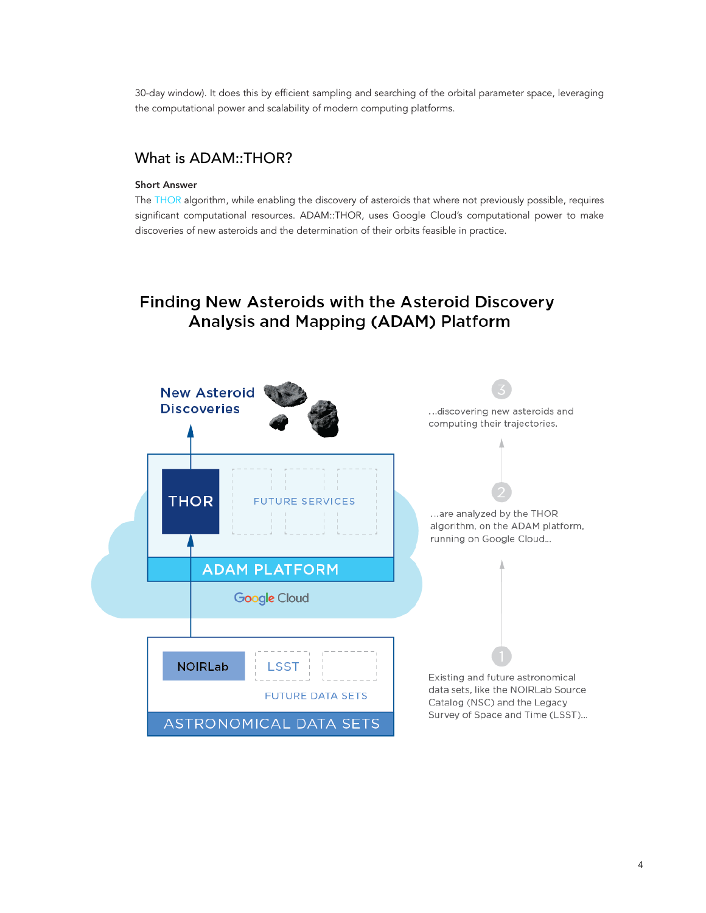30-day window). It does this by efficient sampling and searching of the orbital parameter space, leveraging the computational power and scalability of modern computing platforms.

## What is ADAM::THOR?

#### Short Answer

The [THOR](https://arxiv.org/abs/2105.01056) algorithm, while enabling the discovery of asteroids that where not previously possible, requires significant computational resources. ADAM::THOR, uses Google Cloud's computational power to make discoveries of new asteroids and the determination of their orbits feasible in practice.

# Finding New Asteroids with the Asteroid Discovery Analysis and Mapping (ADAM) Platform

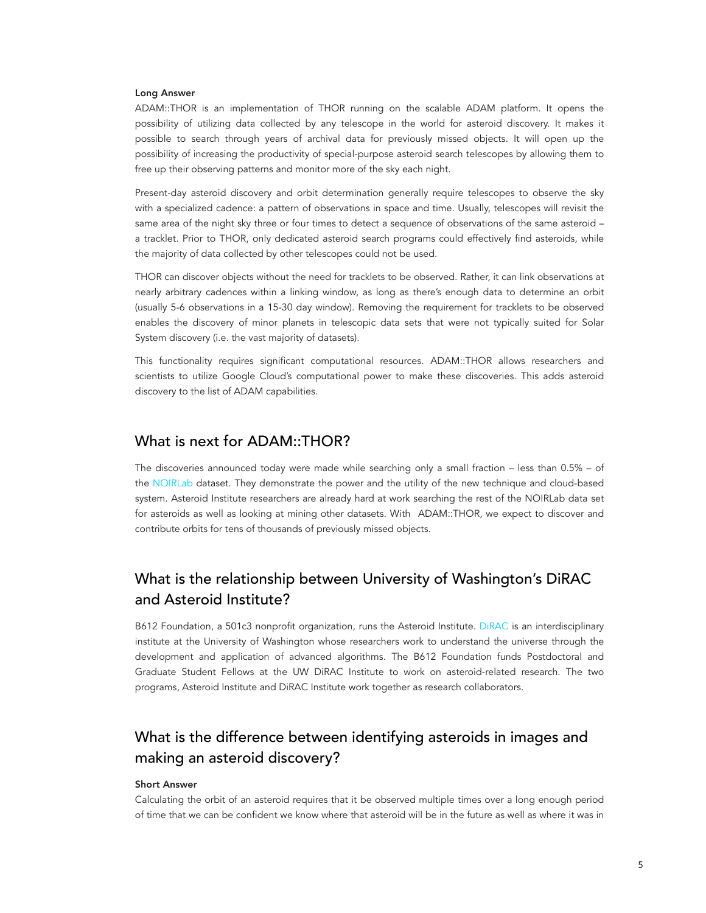#### Long Answer

ADAM::THOR is an implementation of THOR running on the scalable ADAM platform. It opens the possibility of utilizing data collected by any telescope in the world for asteroid discovery. It makes it possible to search through years of archival data for previously missed objects. It will open up the possibility of increasing the productivity of special-purpose asteroid search telescopes by allowing them to free up their observing patterns and monitor more of the sky each night.

Present-day asteroid discovery and orbit determination generally require telescopes to observe the sky with a specialized cadence: a pattern of observations in space and time. Usually, telescopes will revisit the same area of the night sky three or four times to detect a sequence of observations of the same asteroid a tracklet. Prior to THOR, only dedicated asteroid search programs could effectively find asteroids, while the majority of data collected by other telescopes could not be used.

THOR can discover objects without the need for tracklets to be observed. Rather, it can link observations at nearly arbitrary cadences within a linking window, as long as there's enough data to determine an orbit (usually 5-6 observations in a 15-30 day window). Removing the requirement for tracklets to be observed enables the discovery of minor planets in telescopic data sets that were not typically suited for Solar System discovery (i.e. the vast majority of datasets).

This functionality requires significant computational resources. ADAM::THOR allows researchers and scientists to utilize Google Cloud's computational power to make these discoveries. This adds asteroid discovery to the list of ADAM capabilities.

### What is next for ADAM::THOR?

The discoveries announced today were made while searching only a small fraction – less than 0.5% – of the [NOIRLab](https://datalab.noirlab.edu/nscdr2/index.php) dataset. They demonstrate the power and the utility of the new technique and cloud-based system. Asteroid Institute researchers are already hard at work searching the rest of the NOIRLab data set for asteroids as well as looking at mining other datasets. With ADAM::THOR, we expect to discover and contribute orbits for tens of thousands of previously missed objects.

# What is the relationship between University of Washington's DiRAC and Asteroid Institute?

B612 Foundation, a 501c3 nonprofit organization, runs the Asteroid Institute. [DiRAC](https://dirac.astro.washington.edu/) is an interdisciplinary institute at the University of Washington whose researchers work to understand the universe through the development and application of advanced algorithms. The B612 Foundation funds Postdoctoral and Graduate Student Fellows at the UW DiRAC Institute to work on asteroid-related research. The two programs, Asteroid Institute and DiRAC Institute work together as research collaborators.

# What is the difference between identifying asteroids in images and making an asteroid discovery?

#### Short Answer

Calculating the orbit of an asteroid requires that it be observed multiple times over a long enough period of time that we can be confident we know where that asteroid will be in the future as well as where it was in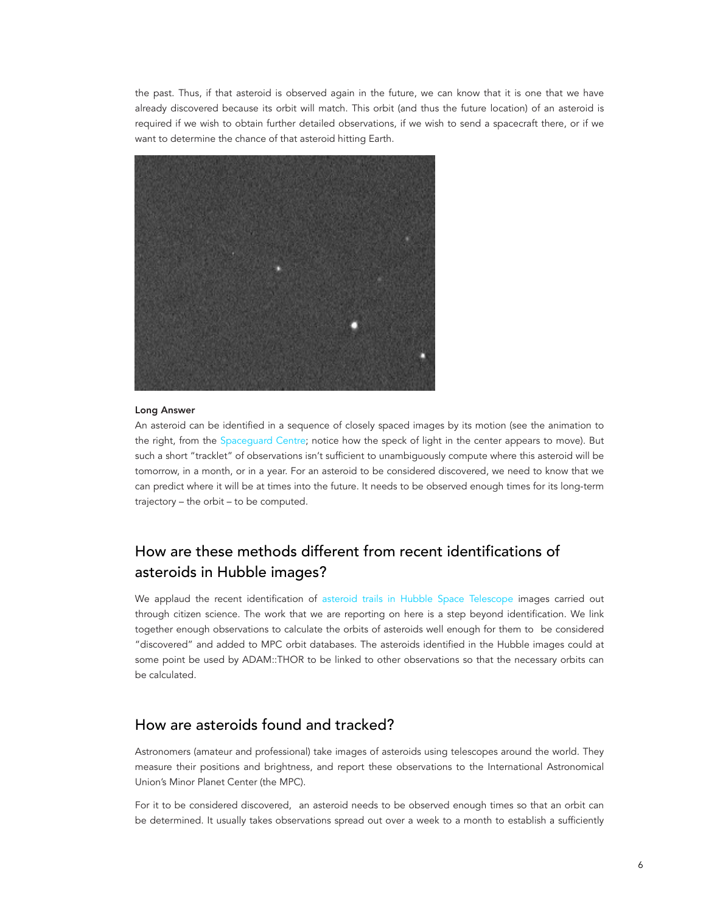the past. Thus, if that asteroid is observed again in the future, we can know that it is one that we have already discovered because its orbit will match. This orbit (and thus the future location) of an asteroid is required if we wish to obtain further detailed observations, if we wish to send a spacecraft there, or if we want to determine the chance of that asteroid hitting Earth.



#### Long Answer

An asteroid can be identified in a sequence of closely spaced images by its motion (see the animation to the right, from the [Spaceguard Centre](https://spaceguardcentre.com/what-are-neos/finding-and-observing-asteroids/); notice how the speck of light in the center appears to move). But such a short "tracklet" of observations isn't sufficient to unambiguously compute where this asteroid will be tomorrow, in a month, or in a year. For an asteroid to be considered discovered, we need to know that we can predict where it will be at times into the future. It needs to be observed enough times for its long-term trajectory – the orbit – to be computed.

# How are these methods different from recent identifications of asteroids in Hubble images?

We applaud the recent identification of [asteroid trails in Hubble Space Telescope](https://arstechnica.com/science/2022/05/citizen-scientists-help-discover-more-than-1000-new-asteroids/) images carried out through citizen science. The work that we are reporting on here is a step beyond identification. We link together enough observations to calculate the orbits of asteroids well enough for them to be considered "discovered" and added to MPC orbit databases. The asteroids identified in the Hubble images could at some point be used by ADAM::THOR to be linked to other observations so that the necessary orbits can be calculated.

## How are asteroids found and tracked?

Astronomers (amateur and professional) take images of asteroids using telescopes around the world. They measure their positions and brightness, and report these observations to the International Astronomical Union's Minor Planet Center (the MPC).

For it to be considered discovered, an asteroid needs to be observed enough times so that an orbit can be determined. It usually takes observations spread out over a week to a month to establish a sufficiently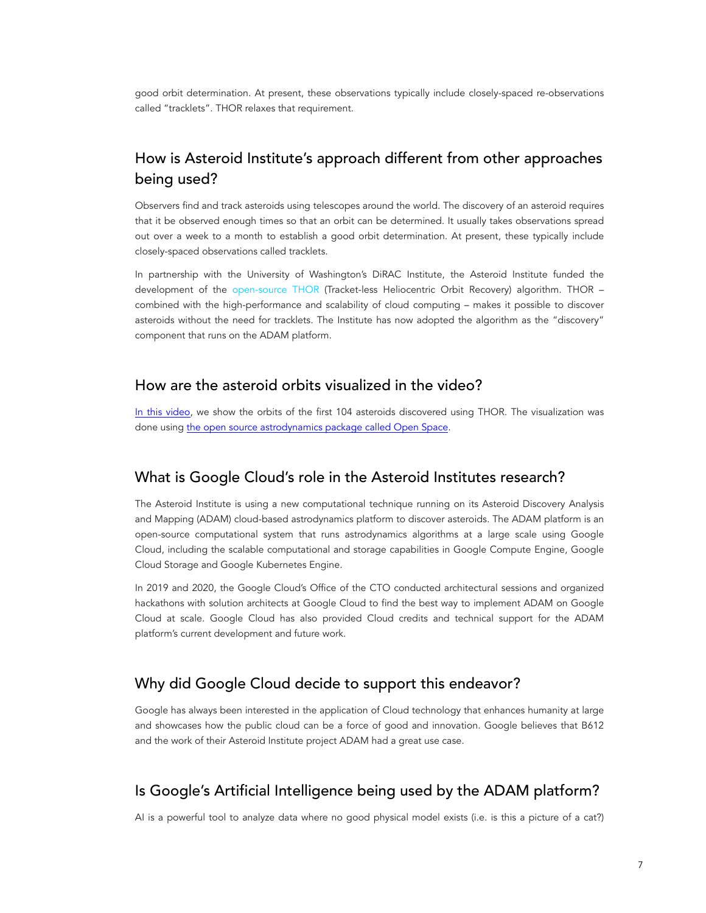good orbit determination. At present, these observations typically include closely-spaced re-observations called "tracklets". THOR relaxes that requirement.

# How is Asteroid Institute's approach different from other approaches being used?

Observers find and track asteroids using telescopes around the world. The discovery of an asteroid requires that it be observed enough times so that an orbit can be determined. It usually takes observations spread out over a week to a month to establish a good orbit determination. At present, these typically include closely-spaced observations called tracklets.

In partnership with the University of Washington's DiRAC Institute, the Asteroid Institute funded the development of the [open-source THOR](https://github.com/moeyensj/thor) (Tracket-less Heliocentric Orbit Recovery) algorithm. THOR – combined with the high-performance and scalability of cloud computing – makes it possible to discover asteroids without the need for tracklets. The Institute has now adopted the algorithm as the "discovery" component that runs on the ADAM platform.

### How are the asteroid orbits visualized in the video?

[In this video](https://www.youtube.com/watch?v=_GNxx_1ZgWE), we show the orbits of the first 104 asteroids discovered using THOR. The visualization was done using [the open source astrodynamics package called Open Space.](https://www.openspaceproject.com/)

### What is Google Cloud's role in the Asteroid Institutes research?

The Asteroid Institute is using a new computational technique running on its Asteroid Discovery Analysis and Mapping (ADAM) cloud-based astrodynamics platform to discover asteroids. The ADAM platform is an open-source computational system that runs astrodynamics algorithms at a large scale using Google Cloud, including the scalable computational and storage capabilities in Google Compute Engine, Google Cloud Storage and Google Kubernetes Engine.

In 2019 and 2020, the Google Cloud's Office of the CTO conducted architectural sessions and organized hackathons with solution architects at Google Cloud to find the best way to implement ADAM on Google Cloud at scale. Google Cloud has also provided Cloud credits and technical support for the ADAM platform's current development and future work.

## Why did Google Cloud decide to support this endeavor?

Google has always been interested in the application of Cloud technology that enhances humanity at large and showcases how the public cloud can be a force of good and innovation. Google believes that B612 and the work of their Asteroid Institute project ADAM had a great use case.

## Is Google's Artificial Intelligence being used by the ADAM platform?

AI is a powerful tool to analyze data where no good physical model exists (i.e. is this a picture of a cat?)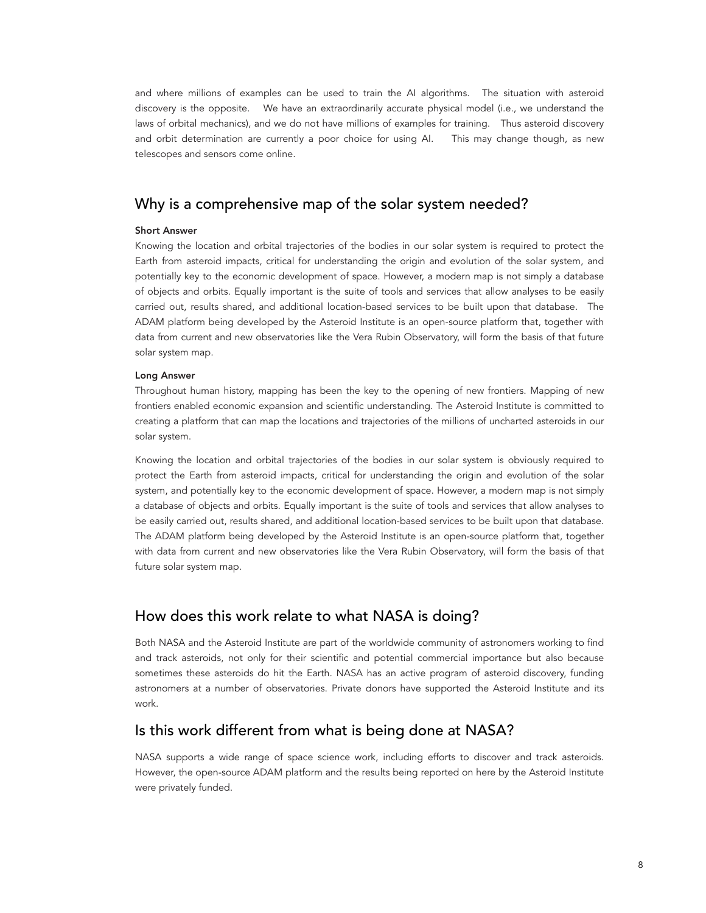and where millions of examples can be used to train the AI algorithms. The situation with asteroid discovery is the opposite. We have an extraordinarily accurate physical model (i.e., we understand the laws of orbital mechanics), and we do not have millions of examples for training. Thus asteroid discovery and orbit determination are currently a poor choice for using AI. This may change though, as new telescopes and sensors come online.

## Why is a comprehensive map of the solar system needed?

#### Short Answer

Knowing the location and orbital trajectories of the bodies in our solar system is required to protect the Earth from asteroid impacts, critical for understanding the origin and evolution of the solar system, and potentially key to the economic development of space. However, a modern map is not simply a database of objects and orbits. Equally important is the suite of tools and services that allow analyses to be easily carried out, results shared, and additional location-based services to be built upon that database. The ADAM platform being developed by the Asteroid Institute is an open-source platform that, together with data from current and new observatories like the Vera Rubin Observatory, will form the basis of that future solar system map.

#### Long Answer

Throughout human history, mapping has been the key to the opening of new frontiers. Mapping of new frontiers enabled economic expansion and scientific understanding. The Asteroid Institute is committed to creating a platform that can map the locations and trajectories of the millions of uncharted asteroids in our solar system.

Knowing the location and orbital trajectories of the bodies in our solar system is obviously required to protect the Earth from asteroid impacts, critical for understanding the origin and evolution of the solar system, and potentially key to the economic development of space. However, a modern map is not simply a database of objects and orbits. Equally important is the suite of tools and services that allow analyses to be easily carried out, results shared, and additional location-based services to be built upon that database. The ADAM platform being developed by the Asteroid Institute is an open-source platform that, together with data from current and new observatories like the Vera Rubin Observatory, will form the basis of that future solar system map.

## How does this work relate to what NASA is doing?

Both NASA and the Asteroid Institute are part of the worldwide community of astronomers working to find and track asteroids, not only for their scientific and potential commercial importance but also because sometimes these asteroids do hit the Earth. NASA has an active program of asteroid discovery, funding astronomers at a number of observatories. Private donors have supported the Asteroid Institute and its work.

### Is this work different from what is being done at NASA?

NASA supports a wide range of space science work, including efforts to discover and track asteroids. However, the open-source ADAM platform and the results being reported on here by the Asteroid Institute were privately funded.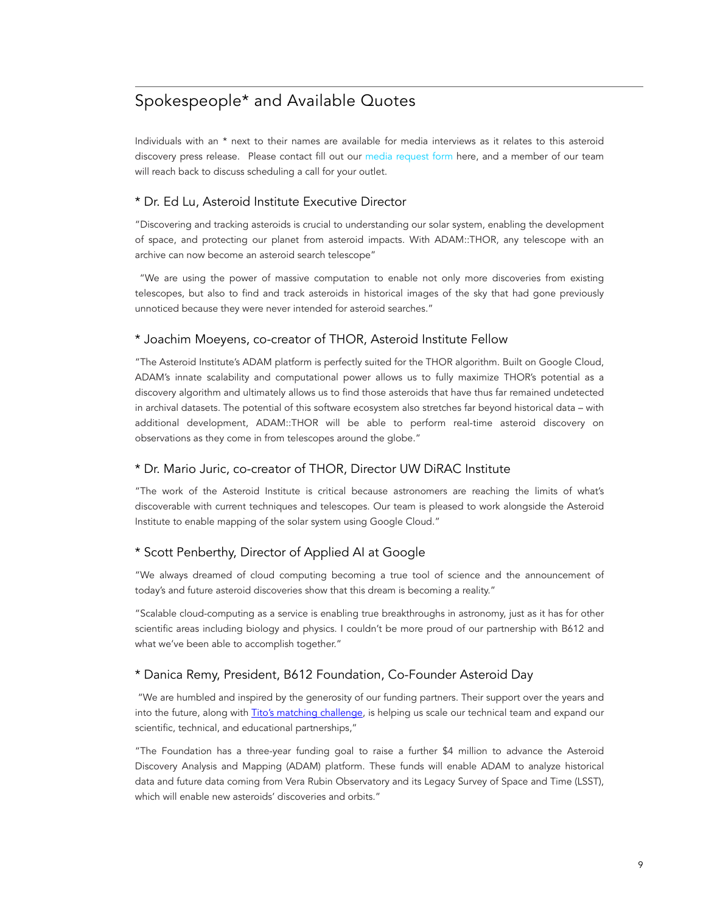# Spokespeople\* and Available Quotes

Individuals with an \* next to their names are available for media interviews as it relates to this asteroid discovery press release. Please contact fill out our [media request form](https://b612foundation.org/contact-us/media-requests/) here, and a member of our team will reach back to discuss scheduling a call for your outlet.

### \* Dr. Ed Lu, Asteroid Institute Executive Director

"Discovering and tracking asteroids is crucial to understanding our solar system, enabling the development of space, and protecting our planet from asteroid impacts. With ADAM::THOR, any telescope with an archive can now become an asteroid search telescope"

"We are using the power of massive computation to enable not only more discoveries from existing telescopes, but also to find and track asteroids in historical images of the sky that had gone previously unnoticed because they were never intended for asteroid searches."

### \* Joachim Moeyens, co-creator of THOR, Asteroid Institute Fellow

"The Asteroid Institute's ADAM platform is perfectly suited for the THOR algorithm. Built on Google Cloud, ADAM's innate scalability and computational power allows us to fully maximize THOR's potential as a discovery algorithm and ultimately allows us to find those asteroids that have thus far remained undetected in archival datasets. The potential of this software ecosystem also stretches far beyond historical data – with additional development, ADAM::THOR will be able to perform real-time asteroid discovery on observations as they come in from telescopes around the globe."

### \* Dr. Mario Juric, co-creator of THOR, Director UW DiRAC Institute

"The work of the Asteroid Institute is critical because astronomers are reaching the limits of what's discoverable with current techniques and telescopes. Our team is pleased to work alongside the Asteroid Institute to enable mapping of the solar system using Google Cloud."

### \* Scott Penberthy, Director of Applied AI at Google

"We always dreamed of cloud computing becoming a true tool of science and the announcement of today's and future asteroid discoveries show that this dream is becoming a reality."

"Scalable cloud-computing as a service is enabling true breakthroughs in astronomy, just as it has for other scientific areas including biology and physics. I couldn't be more proud of our partnership with B612 and what we've been able to accomplish together."

### \* Danica Remy, President, B612 Foundation, Co-Founder Asteroid Day

"We are humbled and inspired by the generosity of our funding partners. Their support over the years and into the future, along with [Tito's matching challenge,](https://b612foundation.org/press-release-b612-foundation-announces-2-3-million-in-leadership-gifts/) is helping us scale our technical team and expand our scientific, technical, and educational partnerships,"

"The Foundation has a three-year funding goal to raise a further \$4 million to advance the Asteroid Discovery Analysis and Mapping (ADAM) platform. These funds will enable ADAM to analyze historical data and future data coming from Vera Rubin Observatory and its Legacy Survey of Space and Time (LSST), which will enable new asteroids' discoveries and orbits."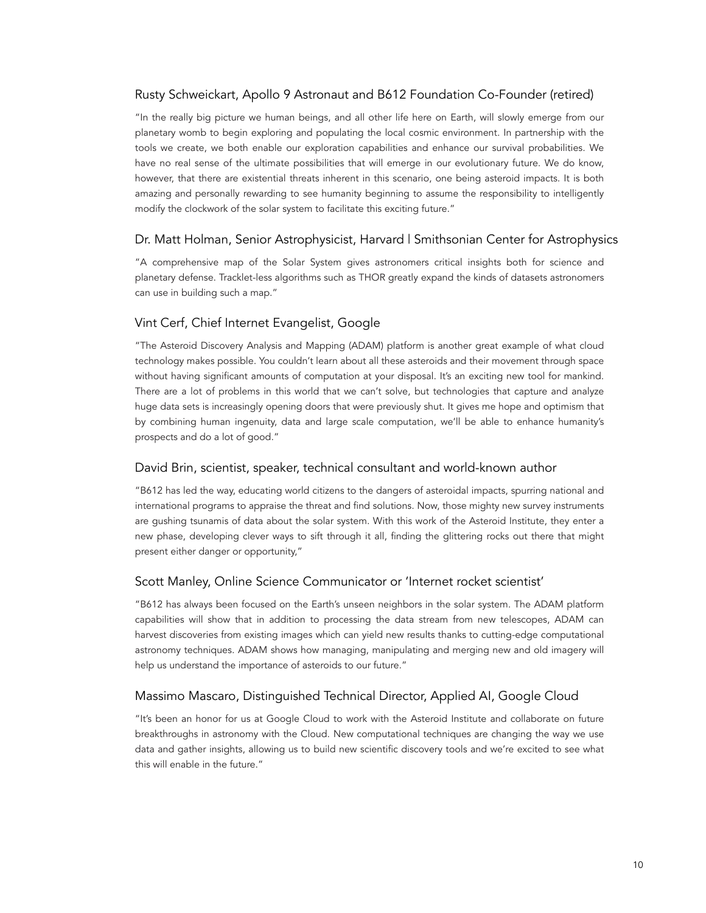### Rusty Schweickart, Apollo 9 Astronaut and B612 Foundation Co-Founder (retired)

"In the really big picture we human beings, and all other life here on Earth, will slowly emerge from our planetary womb to begin exploring and populating the local cosmic environment. In partnership with the tools we create, we both enable our exploration capabilities and enhance our survival probabilities. We have no real sense of the ultimate possibilities that will emerge in our evolutionary future. We do know, however, that there are existential threats inherent in this scenario, one being asteroid impacts. It is both amazing and personally rewarding to see humanity beginning to assume the responsibility to intelligently modify the clockwork of the solar system to facilitate this exciting future."

### Dr. Matt Holman, Senior Astrophysicist, Harvard | Smithsonian Center for Astrophysics

"A comprehensive map of the Solar System gives astronomers critical insights both for science and planetary defense. Tracklet-less algorithms such as THOR greatly expand the kinds of datasets astronomers can use in building such a map."

### Vint Cerf, Chief Internet Evangelist, Google

"The Asteroid Discovery Analysis and Mapping (ADAM) platform is another great example of what cloud technology makes possible. You couldn't learn about all these asteroids and their movement through space without having significant amounts of computation at your disposal. It's an exciting new tool for mankind. There are a lot of problems in this world that we can't solve, but technologies that capture and analyze huge data sets is increasingly opening doors that were previously shut. It gives me hope and optimism that by combining human ingenuity, data and large scale computation, we'll be able to enhance humanity's prospects and do a lot of good."

### David Brin, scientist, speaker, technical consultant and world-known author

"B612 has led the way, educating world citizens to the dangers of asteroidal impacts, spurring national and international programs to appraise the threat and find solutions. Now, those mighty new survey instruments are gushing tsunamis of data about the solar system. With this work of the Asteroid Institute, they enter a new phase, developing clever ways to sift through it all, finding the glittering rocks out there that might present either danger or opportunity,"

### Scott Manley, Online Science Communicator or 'Internet rocket scientist'

"B612 has always been focused on the Earth's unseen neighbors in the solar system. The ADAM platform capabilities will show that in addition to processing the data stream from new telescopes, ADAM can harvest discoveries from existing images which can yield new results thanks to cutting-edge computational astronomy techniques. ADAM shows how managing, manipulating and merging new and old imagery will help us understand the importance of asteroids to our future."

### Massimo Mascaro, Distinguished Technical Director, Applied AI, Google Cloud

"It's been an honor for us at Google Cloud to work with the Asteroid Institute and collaborate on future breakthroughs in astronomy with the Cloud. New computational techniques are changing the way we use data and gather insights, allowing us to build new scientific discovery tools and we're excited to see what this will enable in the future."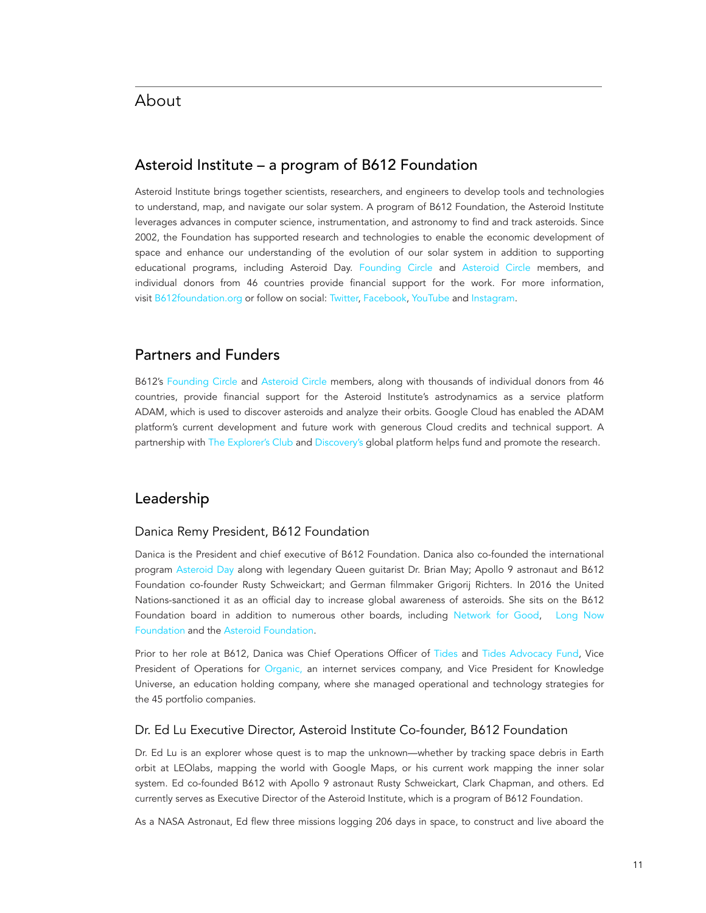## Asteroid Institute – a program of B612 Foundation

Asteroid Institute brings together scientists, researchers, and engineers to develop tools and technologies to understand, map, and navigate our solar system. A program of B612 Foundation, the Asteroid Institute leverages advances in computer science, instrumentation, and astronomy to find and track asteroids. Since 2002, the Foundation has supported research and technologies to enable the economic development of space and enhance our understanding of the evolution of our solar system in addition to supporting educational programs, including Asteroid Day. [Founding Circle](https://b612foundation.org/our-team/#hash_filters=founding-circle) and [Asteroid Circle](https://b612foundation.org/our-team/#hash_filters=asteroid-circle) members, and individual donors from 46 countries provide financial support for the work. For more information, visit [B612foundation.org](https://b612foundation.org/) or follow on social: [Twitter,](https://twitter.com/b612foundation) [Facebook,](https://www.facebook.com/b612foundation) [YouTube](https://www.youtube.com/user/b612publisher) and [Instagram.](https://www.instagram.com/b612_foundation/)

### Partners and Funders

B612's [Founding Circle](https://b612foundation.org/our-team/#hash_filters=founding-circle) and [Asteroid Circle](https://b612foundation.org/our-team/#hash_filters=asteroid-circle) members, along with thousands of individual donors from 46 countries, provide financial support for the Asteroid Institute's astrodynamics as a service platform ADAM, which is used to discover asteroids and analyze their orbits. Google Cloud has enabled the ADAM platform's current development and future work with generous Cloud credits and technical support. A partnership with [The Explorer's Club](https://www.explorers.org/) and [Discovery's](http://discovery.com/) global platform helps fund and promote the research.

## Leadership

### Danica Remy President, B612 Foundation

Danica is the President and chief executive of B612 Foundation. Danica also co-founded the international program [Asteroid Day](http://asteroidday.org/) along with legendary Queen guitarist Dr. Brian May; Apollo 9 astronaut and B612 Foundation co-founder Rusty Schweickart; and German filmmaker Grigorij Richters. In 2016 the United Nations-sanctioned it as an official day to increase global awareness of asteroids. She sits on the B612 Foundation board in addition to numerous other boards, including [Network for Good,](https://www.networkforgood.com/) Long Now [Foundation](http://longnow.org/) and the [Asteroid Foundation](https://asteroidfoundation.org/).

Prior to her role at B612, Danica was Chief Operations Officer of [Tides](http://tides.org/) and [Tides Advocacy Fund](https://tidesadvocacy.org/), Vice President of Operations for [Organic,](http://organic.com/) an internet services company, and Vice President for Knowledge Universe, an education holding company, where she managed operational and technology strategies for the 45 portfolio companies.

### Dr. Ed Lu Executive Director, Asteroid Institute Co-founder, B612 Foundation

Dr. Ed Lu is an explorer whose quest is to map the unknown—whether by tracking space debris in Earth orbit at LEOlabs, mapping the world with Google Maps, or his current work mapping the inner solar system. Ed co-founded B612 with Apollo 9 astronaut Rusty Schweickart, Clark Chapman, and others. Ed currently serves as Executive Director of the Asteroid Institute, which is a program of B612 Foundation.

As a NASA Astronaut, Ed flew three missions logging 206 days in space, to construct and live aboard the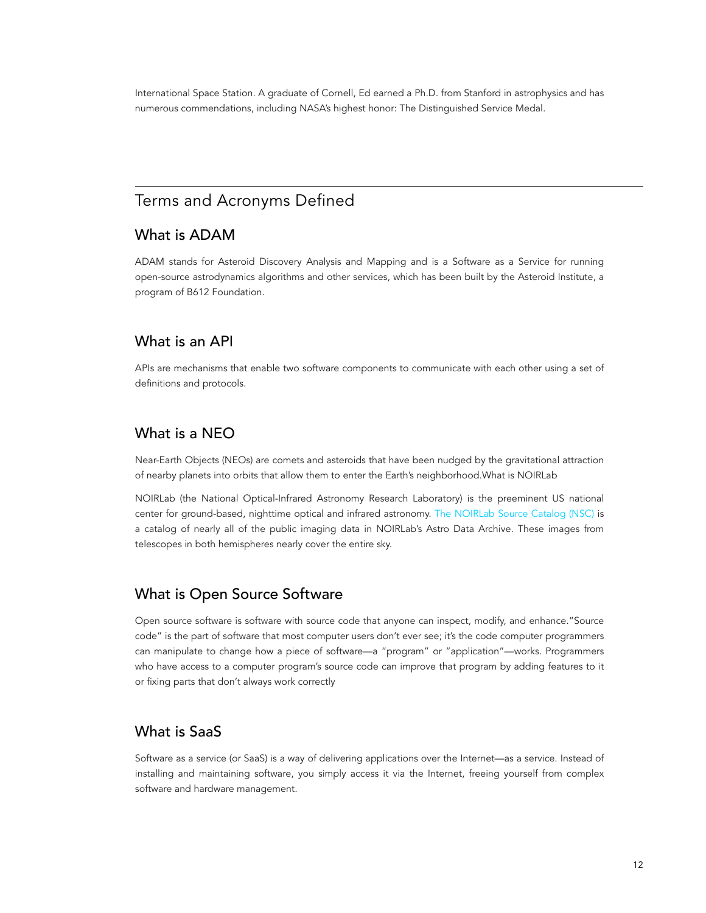International Space Station. A graduate of Cornell, Ed earned a Ph.D. from Stanford in astrophysics and has numerous commendations, including NASA's highest honor: The Distinguished Service Medal.

# Terms and Acronyms Defined

## What is ADAM

ADAM stands for Asteroid Discovery Analysis and Mapping and is a Software as a Service for running open-source astrodynamics algorithms and other services, which has been built by the Asteroid Institute, a program of B612 Foundation.

### What is an API

APIs are mechanisms that enable two software components to communicate with each other using a set of definitions and protocols.

## What is a NEO

Near-Earth Objects (NEOs) are comets and asteroids that have been nudged by the gravitational attraction of nearby planets into orbits that allow them to enter the Earth's neighborhood.What is NOIRLab

NOIRLab (the National Optical-Infrared Astronomy Research Laboratory) is the preeminent US national center for ground-based, nighttime optical and infrared astronomy. [The NOIRLab Source Catalog \(NSC\)](https://noirlab.edu/public/images/) is a catalog of nearly all of the public imaging data in NOIRLab's Astro Data Archive. These images from telescopes in both hemispheres nearly cover the entire sky.

## What is Open Source Software

Open source software is software with source code that anyone can inspect, modify, and enhance."Source code" is the part of software that most computer users don't ever see; it's the code computer programmers can manipulate to change how a piece of software—a "program" or "application"—works. Programmers who have access to a computer program's source code can improve that program by adding features to it or fixing parts that don't always work correctly

## What is SaaS

Software as a service (or SaaS) is a way of delivering applications over the Internet—as a service. Instead of installing and maintaining software, you simply access it via the Internet, freeing yourself from complex software and hardware management.